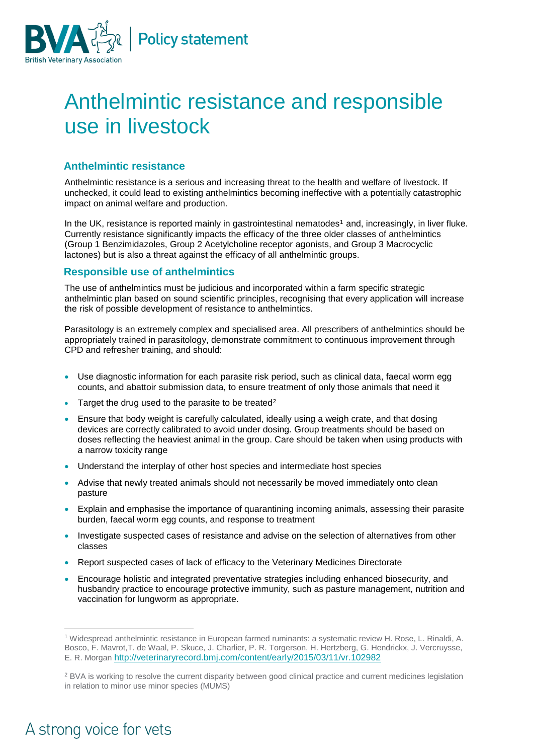

## Anthelmintic resistance and responsible use in livestock

## **Anthelmintic resistance**

Anthelmintic resistance is a serious and increasing threat to the health and welfare of livestock. If unchecked, it could lead to existing anthelmintics becoming ineffective with a potentially catastrophic impact on animal welfare and production.

In the UK, resistance is reported mainly in gastrointestinal nematodes<sup>1</sup> and, increasingly, in liver fluke. Currently resistance significantly impacts the efficacy of the three older classes of anthelmintics (Group 1 Benzimidazoles, Group 2 Acetylcholine receptor agonists, and Group 3 Macrocyclic lactones) but is also a threat against the efficacy of all anthelmintic groups.

## **Responsible use of anthelmintics**

The use of anthelmintics must be judicious and incorporated within a farm specific strategic anthelmintic plan based on sound scientific principles, recognising that every application will increase the risk of possible development of resistance to anthelmintics.

Parasitology is an extremely complex and specialised area. All prescribers of anthelmintics should be appropriately trained in parasitology, demonstrate commitment to continuous improvement through CPD and refresher training, and should:

- Use diagnostic information for each parasite risk period, such as clinical data, faecal worm egg counts, and abattoir submission data, to ensure treatment of only those animals that need it
- Target the drug used to the parasite to be treated<sup>2</sup>
- Ensure that body weight is carefully calculated, ideally using a weigh crate, and that dosing devices are correctly calibrated to avoid under dosing. Group treatments should be based on doses reflecting the heaviest animal in the group. Care should be taken when using products with a narrow toxicity range
- Understand the interplay of other host species and intermediate host species
- Advise that newly treated animals should not necessarily be moved immediately onto clean pasture
- Explain and emphasise the importance of quarantining incoming animals, assessing their parasite burden, faecal worm egg counts, and response to treatment
- Investigate suspected cases of resistance and advise on the selection of alternatives from other classes
- Report suspected cases of lack of efficacy to the Veterinary Medicines Directorate
- Encourage holistic and integrated preventative strategies including enhanced biosecurity, and husbandry practice to encourage protective immunity, such as pasture management, nutrition and vaccination for lungworm as appropriate.

## A strong voice for vets

 $\overline{a}$ 

<sup>1</sup> Widespread anthelmintic resistance in European farmed ruminants: a systematic review H. Rose, L. Rinaldi, A. Bosco, F. Mavrot,T. de Waal, P. Skuce, J. Charlier, P. R. Torgerson, H. Hertzberg, G. Hendrickx, J. Vercruysse, E. R. Morgan <http://veterinaryrecord.bmj.com/content/early/2015/03/11/vr.102982>

<sup>&</sup>lt;sup>2</sup> BVA is working to resolve the current disparity between good clinical practice and current medicines legislation in relation to minor use minor species (MUMS)